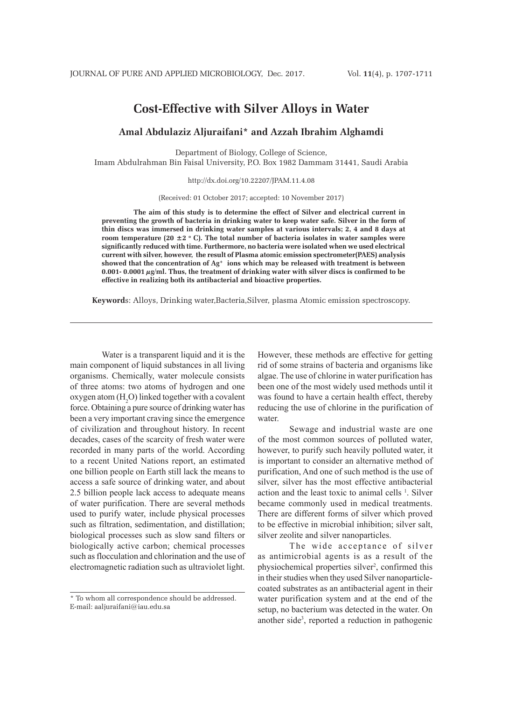# **Cost-Effective with Silver Alloys in Water**

# **Amal Abdulaziz Aljuraifani\* and Azzah Ibrahim Alghamdi**

Department of Biology, College of Science, Imam Abdulrahman Bin Faisal University, P.O. Box 1982 Dammam 31441, Saudi Arabia

http://dx.doi.org/10.22207/JPAM.11.4.08

(Received: 01 October 2017; accepted: 10 November 2017)

**The aim of this study is to determine the effect of Silver and electrical current in preventing the growth of bacteria in drinking water to keep water safe. Silver in the form of thin discs was immersed in drinking water samples at various intervals; 2, 4 and 8 days at**  room temperature (20  $\pm$ 2 ° C). The total number of bacteria isolates in water samples were **significantly reduced with time. Furthermore, no bacteria were isolated when we used electrical current with silver, however, the result of Plasma atomic emission spectrometer(PAES) analysis showed that the concentration of Ag+ ions which may be released with treatment is between 0.001- 0.0001 µg/ml. Thus, the treatment of drinking water with silver discs is confirmed to be effective in realizing both its antibacterial and bioactive properties.**

**Keyword**s: Alloys, Drinking water,Bacteria,Silver, plasma Atomic emission spectroscopy.

Water is a transparent liquid and it is the main component of liquid substances in all living organisms. Chemically, water molecule consists of three atoms: two atoms of hydrogen and one oxygen atom  $(H_2O)$  linked together with a covalent force. Obtaining a pure source of drinking water has been a very important craving since the emergence of civilization and throughout history. In recent decades, cases of the scarcity of fresh water were recorded in many parts of the world. According to a recent United Nations report, an estimated one billion people on Earth still lack the means to access a safe source of drinking water, and about 2.5 billion people lack access to adequate means of water purification. There are several methods used to purify water, include physical processes such as filtration, sedimentation, and distillation; biological processes such as slow sand filters or biologically active carbon; chemical processes such as flocculation and chlorination and the use of electromagnetic radiation such as ultraviolet light.

However, these methods are effective for getting rid of some strains of bacteria and organisms like algae. The use of chlorine in water purification has been one of the most widely used methods until it was found to have a certain health effect, thereby reducing the use of chlorine in the purification of water.

Sewage and industrial waste are one of the most common sources of polluted water, however, to purify such heavily polluted water, it is important to consider an alternative method of purification, And one of such method is the use of silver, silver has the most effective antibacterial action and the least toxic to animal cells <sup>1</sup>. Silver became commonly used in medical treatments. There are different forms of silver which proved to be effective in microbial inhibition; silver salt, silver zeolite and silver nanoparticles.

The wide acceptance of silver as antimicrobial agents is as a result of the physiochemical properties silver<sup>2</sup>, confirmed this in their studies when they used Silver nanoparticlecoated substrates as an antibacterial agent in their water purification system and at the end of the setup, no bacterium was detected in the water. On another side3 , reported a reduction in pathogenic

<sup>\*</sup> To whom all correspondence should be addressed. E-mail: aaljuraifani@iau.edu.sa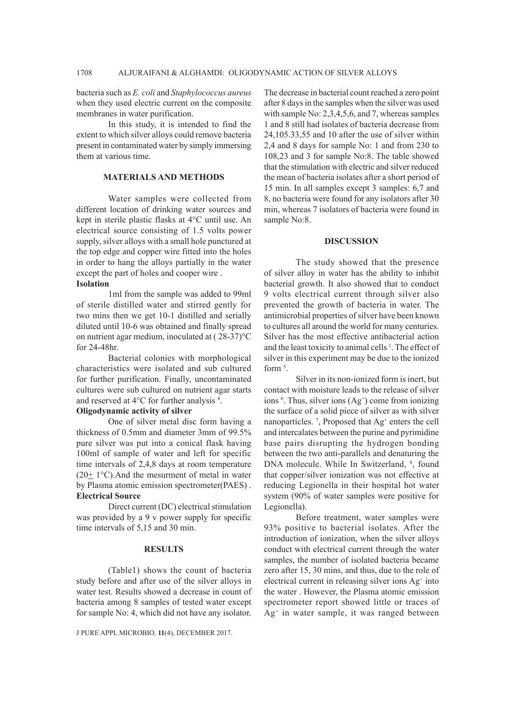bacteria such as *E. coli* and *Staphylococcus aureus* when they used electric current on the composite membranes in water purification.

In this study, it is intended to find the extent to which silver alloys could remove bacteria present in contaminated water by simply immersing them at various time.

## **MATERIALS AND METHODS**

Water samples were collected from different location of drinking water sources and kept in sterile plastic flasks at 4°C until use. An electrical source consisting of 1.5 volts power supply, silver alloys with a small hole punctured at the top edge and copper wire fitted into the holes in order to hang the alloys partially in the water except the part of holes and cooper wire . **Isolation**

1ml from the sample was added to 99ml of sterile distilled water and stirred gently for two mins then we get 10-1 distilled and serially diluted until 10-6 was obtained and finally spread on nutrient agar medium, inoculated at ( 28-37)°C for 24-48hr.

Bacterial colonies with morphological characteristics were isolated and sub cultured for further purification. Finally, uncontaminated cultures were sub cultured on nutrient agar starts and reserved at 4°C for further analysis 4 .

## **Oligodynamic activity of silver**

One of silver metal disc form having a thickness of 0.5mm and diameter 3mm of 99.5% pure silver was put into a conical flask having 100ml of sample of water and left for specific time intervals of 2,4,8 days at room temperature  $(20 \pm 1^{\circ}C)$ . And the mesurment of metal in water by Plasma atomic emission spectrometer(PAES) . **Electrical Source**

Direct current (DC) electrical stimulation was provided by a 9 v power supply for specific time intervals of 5,15 and 30 min.

## **RESULTS**

(Table1) shows the count of bacteria study before and after use of the silver alloys in water test. Results showed a decrease in count of bacteria among 8 samples of tested water except for sample No: 4, which did not have any isolator.

J PURE APPL MICROBIO*,* **11**(4), DECEMBER 2017.

The decrease in bacterial count reached a zero point after 8 days in the samples when the silver was used with sample No: 2,3,4,5,6, and 7, whereas samples 1 and 8 still had isolates of bacteria decrease from 24,105.33,55 and 10 after the use of silver within 2,4 and 8 days for sample No: 1 and from 230 to 108,23 and 3 for sample No:8. The table showed that the stimulation with electric and silver reduced the mean of bacteria isolates after a short period of 15 min. In all samples except 3 samples: 6,7 and 8, no bacteria were found for any isolators after 30 min, whereas 7 isolators of bacteria were found in sample No:8.

## **DISCUSSION**

The study showed that the presence of silver alloy in water has the ability to inhibit bacterial growth. It also showed that to conduct 9 volts electrical current through silver also prevented the growth of bacteria in water. The antimicrobial properties of silver have been known to cultures all around the world for many centuries. Silver has the most effective antibacterial action and the least toxicity to animal cells<sup>1</sup>. The effect of silver in this experiment may be due to the ionized form<sup>5</sup>.

Silver in its non-ionized form is inert, but contact with moisture leads to the release of silver ions  $6$ . Thus, silver ions  $(Ag<sup>+</sup>)$  come from ionizing the surface of a solid piece of silver as with silver nanoparticles.<sup>7</sup>, Proposed that  $\text{Ag}^+$  enters the cell and intercalates between the purine and pyrimidine base pairs disrupting the hydrogen bonding between the two anti-parallels and denaturing the DNA molecule. While In Switzerland, <sup>8</sup>, found that copper/silver ionization was not effective at reducing Legionella in their hospital hot water system (90% of water samples were positive for Legionella).

Before treatment, water samples were 93% positive to bacterial isolates. After the introduction of ionization, when the silver alloys conduct with electrical current through the water samples, the number of isolated bacteria became zero after 15, 30 mins, and thus, due to the role of electrical current in releasing silver ions Ag<sup>+</sup> into the water . However, the Plasma atomic emission spectrometer report showed little or traces of Ag+ in water sample, it was ranged between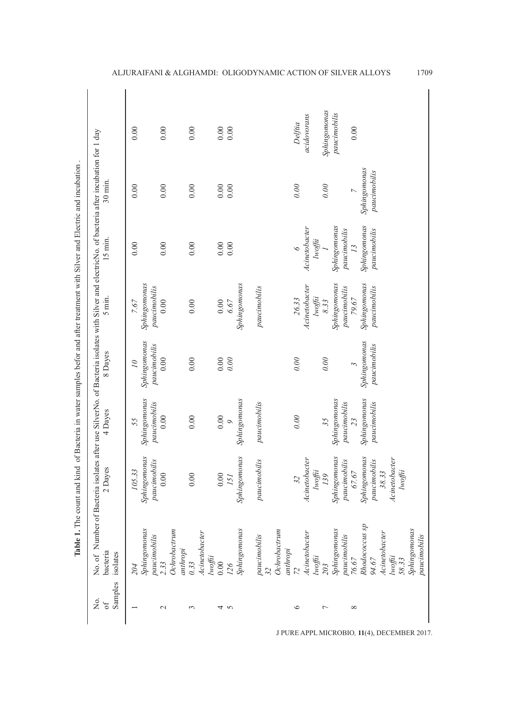| Σó.           | No. of Number of Bacteria    |                              |                              | isolates after use SilverNo. of Bacteria isolates with Silver and electricNo. of bacteria after incubation for 1 day |                                    |                              |                              |              |
|---------------|------------------------------|------------------------------|------------------------------|----------------------------------------------------------------------------------------------------------------------|------------------------------------|------------------------------|------------------------------|--------------|
| Samples<br>бf | bacteria<br>isolates         | 2 Dayes                      | 4 Dayes                      | 8 Dayes                                                                                                              | 5 min.                             | $15$ min.                    | $30$ min.                    |              |
|               | 204                          | 105.33                       | 55                           | $\overline{\mathcal{O}}$                                                                                             | 7.67                               | 0.00                         | 0.00                         | 0.00         |
|               | Sphingomonas                 | Sphingomonas                 | Sphingomonas                 | Sphingomonas                                                                                                         | Sphingomonas                       |                              |                              |              |
|               | paucimobilis                 | paucimobilis                 | paucimobilis                 | paucimobilis                                                                                                         | paucimobilis                       |                              |                              |              |
| $\sim$        | 2.33                         | 0.00                         | 0.00                         | 0.00                                                                                                                 | 0.00                               | 0.00                         | 0.00                         | 0.00         |
|               | Ochrobactrum<br>anthropi     |                              |                              |                                                                                                                      |                                    |                              |                              |              |
| $\sim$        | 0.33                         | 0.00                         | 0.00                         | 0.00                                                                                                                 | 0.00                               | 0.00                         | 0.00                         | 0.00         |
|               | Acinetobacter<br>Iwoffii     |                              |                              |                                                                                                                      |                                    |                              |                              |              |
| ↤             | 0.00                         | 0.00                         | $0.00$                       | $0.00\,$                                                                                                             | $0.00\,$                           | $0.00$                       | $0.00\,$                     | $0.00$       |
| 5             | 126                          | 151                          | $\circ$                      | 0.00                                                                                                                 | 6.67                               | 0.00                         | 0.00                         | 0.00         |
|               | Sphingomonas                 | Sphingomonas                 | Sphingomonas                 |                                                                                                                      | Sphingomonas                       |                              |                              |              |
|               | paucimobilis                 | imobilis<br>pauci            | paucimobilis                 |                                                                                                                      | paucimobilis                       |                              |                              |              |
|               | Ochrobactrum                 |                              |                              |                                                                                                                      |                                    |                              |                              |              |
| $\circ$       | anthropi                     | 32                           | 0.00                         | 0.00                                                                                                                 | 26.33                              |                              | 0.00                         | Delfiia      |
|               |                              |                              |                              |                                                                                                                      |                                    |                              |                              |              |
|               | Acinetobacter<br>lwoffii     | Acinetobacter<br>Iwoffii     |                              |                                                                                                                      | Acinetobacter<br>$l$ <i>woffii</i> | Acinetobacter<br>lwoffii     |                              | acidovorans  |
| ∼             | 203                          | 139                          | 35                           | 0.00                                                                                                                 | 8.33                               |                              | 0.00                         | Sphingomonas |
|               | Sphingomonas<br>paucimobilis | Sphingomonas<br>paucimobilis | Sphingomonas<br>paucimobilis |                                                                                                                      | Sphingomonas<br>paucimobilis       | Sphingomonas<br>paucimobilis |                              | paucimobilis |
| $\infty$      | 76.67                        | 67.67                        | 23                           | $\tilde{ }$                                                                                                          | 79.67                              | $\overline{13}$              | $\overline{C}$               | 0.00         |
|               | Rhodococcus sp<br>94.67      | Sphingomonas<br>paucimobilis | Sphingomonas<br>paucimobilis | Sphingomonas<br>paucimobilis                                                                                         | Sphingomonas<br>paucimobilis       | Sphingomonas<br>paucimobilis | Sphingomonas<br>paucimobilis |              |
|               | Acinetobacter<br>lwoffii     | Acinetobacter<br>38.33       |                              |                                                                                                                      |                                    |                              |                              |              |
|               | 58.33                        | $Iw$ offii                   |                              |                                                                                                                      |                                    |                              |                              |              |
|               | Sphingomonas                 |                              |                              |                                                                                                                      |                                    |                              |                              |              |
|               | paucimobilis                 |                              |                              |                                                                                                                      |                                    |                              |                              |              |

ALJURAIFANI & ALGHAMDI: OLIGODYNAMIC ACTION OF SILVER ALLOYS 1709

J PURE APPL MICROBIO*,* **11**(4), DECEMBER 2017.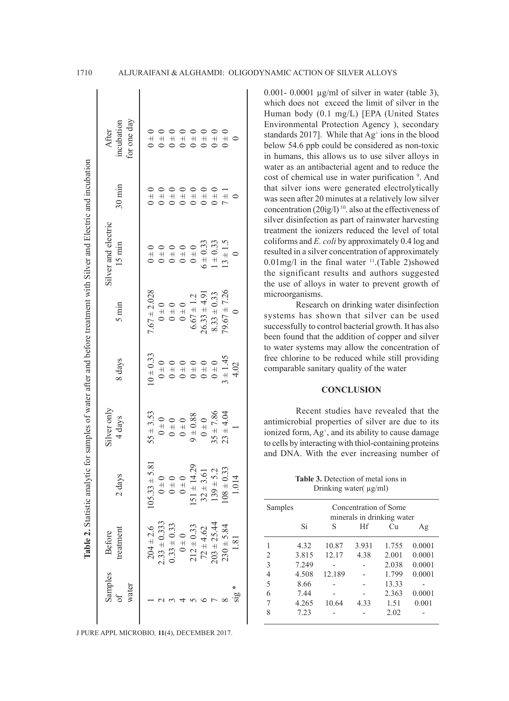| Samples | <b>Before</b>    |                   | Silver only   |               |                  | Silver and electric |                  | After                     |
|---------|------------------|-------------------|---------------|---------------|------------------|---------------------|------------------|---------------------------|
| water   | treatment        | 2 days            | 4 days        | 8 days        | $5 \text{ min}$  | $15 \text{ min}$    | $30 \text{ min}$ | for one day<br>incubation |
|         | $204 \pm 2.6$    | $105.33 \pm 5.81$ | $55 \pm 3.53$ | $10 \pm 0.33$ | $7.67 \pm 2.028$ | $0 \pm 0$           | $0 \pm 0$        | $0 \pm 0$                 |
|         | $0.33 \pm 0.333$ | $0 \pm 0$         | $0 \pm 0$     | $0 \pm 0$     | $0 \pm 0$        | $0 \pm 0$           | $0 \pm 0$        | $0 \pm 0$                 |
|         | $0.33 \pm 0.33$  | $\overline{0}$    | $0 \pm 0$     | $0 \pm 0$     | $0 + 0$          | $0 \pm 0$           | $0 \pm 0$        | $0 \pm 0$                 |
|         | $0 \pm 0$        | $\overline{1}$    | $0 \pm 0$     | $0 + 0$       | $0 + 0$          | $0 \pm 0$           | $0 \pm 0$        | $0 \pm 0$                 |
|         | $212 \pm 0.33$   | $151 \pm 14.29$   | $9 \pm 0.88$  | $0 \pm 0$     | $6.67 \pm 1.2$   | $0 \pm 0$           | $0 \pm 0$        | $0 \pm 0$                 |
|         | $72 \pm 4.62$    | $32 \pm 3.61$     | $0 \pm 0$     | $0 \pm 0$     | $26.33 \pm 4.91$ | $6 + 0.33$          | $0 \pm 0$        | $0 \pm 0$                 |
|         | $.03 \pm 25.44$  | $139 \pm 5.2$     | $35 \pm 7.86$ | $0 \pm 0$     | $8.33 \pm 0.33$  | $1 \pm 0.33$        | $0 \pm 0$        | $0 \pm 0$                 |
|         | $230 \pm 5.84$   | 0.33<br>$+801$    | $23 \pm 4.04$ | $3 \pm 1.45$  | $79.67 \pm 7.26$ | $13 \pm 1.5$        | $7 \pm 1$        | $0 \pm 0$                 |
| sig *   | 1.81             | 1.014             |               | 4.02          | $\circ$          |                     |                  |                           |

J PURE APPL MICROBIO*,* **11**(4), DECEMBER 2017.

0.001- 0.0001 µg/ml of silver in water (table 3), which does not exceed the limit of silver in the Human body (0.1 mg/L) [EPA (United States Environmental Protection Agency ), secondary standards  $2017$ ]. While that  $Ag<sup>+</sup>$  ions in the blood below 54.6 ppb could be considered as non-toxic in humans, this allows us to use silver alloys in water as an antibacterial agent and to reduce the cost of chemical use in water purification <sup>9</sup>. And that silver ions were generated electrolytically was seen after 20 minutes at a relatively low silver concentration (20ìg/l)<sup>10</sup>. also at the effectiveness of silver disinfection as part of rainwater harvesting treatment the ionizers reduced the level of total coliforms and *E. coli* by approximately 0.4 log and resulted in a silver concentration of approximately 0.01mg/l in the final water  $<sup>11</sup>$ .(Table 2)showed</sup> the significant results and authors suggested the use of alloys in water to prevent growth of microorganisms.

Research on drinking water disinfection systems has shown that silver can be used successfully to control bacterial growth. It has also been found that the addition of copper and silver to water systems may allow the concentration of free chlorine to be reduced while still providing comparable sanitary quality of the water

# **CONCLUSION**

Recent studies have revealed that the antimicrobial properties of silver are due to its ionized form, Ag<sup>+</sup>, and its ability to cause damage to cells by interacting with thiol-containing proteins and DNA. With the ever increasing number of

**Table 3.** Detection of metal ions in Drinking water( µg/ml)

| Samples        |       | Concentration of Some<br>minerals in drinking water |       |       |        |
|----------------|-------|-----------------------------------------------------|-------|-------|--------|
|                | Si    | S                                                   | Hf    | Cu    | Αg     |
|                | 4.32  | 10.87                                               | 3.931 | 1.755 | 0.0001 |
| $\overline{2}$ | 3.815 | 12.17                                               | 4.38  | 2.001 | 0.0001 |
| 3              | 7.249 |                                                     |       | 2.038 | 0.0001 |
| 4              | 4.508 | 12.189                                              |       | 1.799 | 0.0001 |
| 5              | 8.66  |                                                     |       | 13.33 |        |
| 6              | 7.44  |                                                     |       | 2.363 | 0.0001 |
| 7              | 4.265 | 10.64                                               | 4.33  | 1.51  | 0.001  |
| 8              | 7.23  |                                                     |       | 2.02  |        |